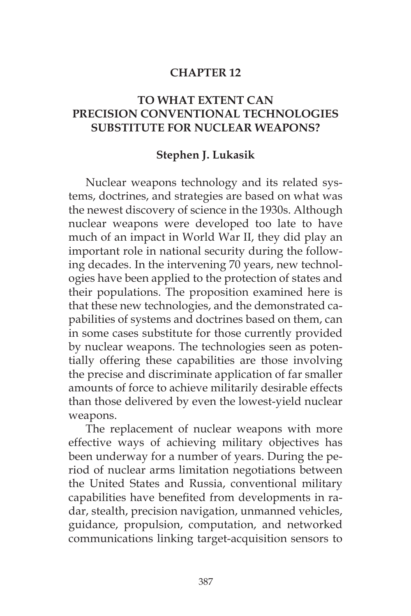### **CHAPTER 12**

# **TO WHAT EXTENT CAN PRECISION CONVENTIONAL TECHNOLOGIES SUBSTITUTE FOR NUCLEAR WEAPONS?**

### **Stephen J. Lukasik**

Nuclear weapons technology and its related systems, doctrines, and strategies are based on what was the newest discovery of science in the 1930s. Although nuclear weapons were developed too late to have much of an impact in World War II, they did play an important role in national security during the following decades. In the intervening 70 years, new technologies have been applied to the protection of states and their populations. The proposition examined here is that these new technologies, and the demonstrated capabilities of systems and doctrines based on them, can in some cases substitute for those currently provided by nuclear weapons. The technologies seen as potentially offering these capabilities are those involving the precise and discriminate application of far smaller amounts of force to achieve militarily desirable effects than those delivered by even the lowest-yield nuclear weapons.

The replacement of nuclear weapons with more effective ways of achieving military objectives has been underway for a number of years. During the period of nuclear arms limitation negotiations between the United States and Russia, conventional military capabilities have benefited from developments in radar, stealth, precision navigation, unmanned vehicles, guidance, propulsion, computation, and networked communications linking target-acquisition sensors to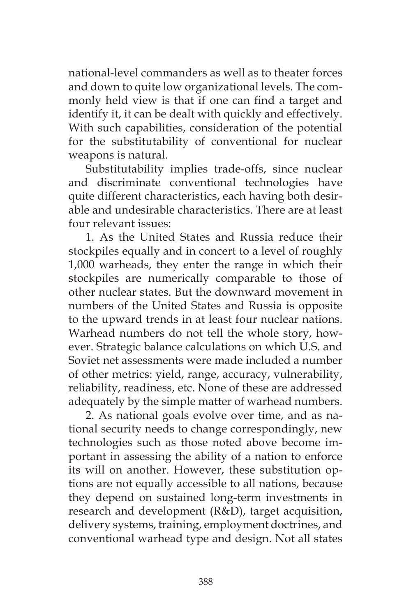national-level commanders as well as to theater forces and down to quite low organizational levels. The commonly held view is that if one can find a target and identify it, it can be dealt with quickly and effectively. With such capabilities, consideration of the potential for the substitutability of conventional for nuclear weapons is natural.

Substitutability implies trade-offs, since nuclear and discriminate conventional technologies have quite different characteristics, each having both desirable and undesirable characteristics. There are at least four relevant issues:

1. As the United States and Russia reduce their stockpiles equally and in concert to a level of roughly 1,000 warheads, they enter the range in which their stockpiles are numerically comparable to those of other nuclear states. But the downward movement in numbers of the United States and Russia is opposite to the upward trends in at least four nuclear nations. Warhead numbers do not tell the whole story, however. Strategic balance calculations on which U.S. and Soviet net assessments were made included a number of other metrics: yield, range, accuracy, vulnerability, reliability, readiness, etc. None of these are addressed adequately by the simple matter of warhead numbers.

2. As national goals evolve over time, and as national security needs to change correspondingly, new technologies such as those noted above become important in assessing the ability of a nation to enforce its will on another. However, these substitution options are not equally accessible to all nations, because they depend on sustained long-term investments in research and development (R&D), target acquisition, delivery systems, training, employment doctrines, and conventional warhead type and design. Not all states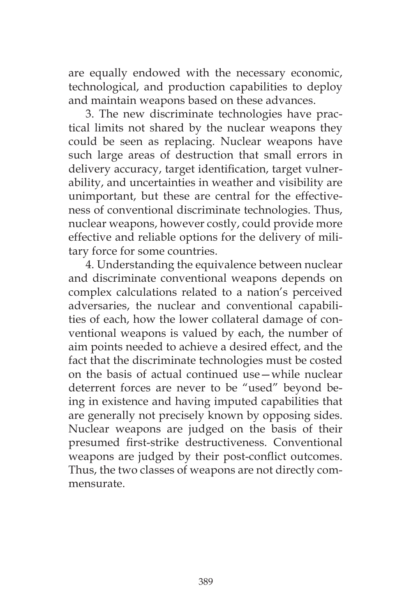are equally endowed with the necessary economic, technological, and production capabilities to deploy and maintain weapons based on these advances.

3. The new discriminate technologies have practical limits not shared by the nuclear weapons they could be seen as replacing. Nuclear weapons have such large areas of destruction that small errors in delivery accuracy, target identification, target vulnerability, and uncertainties in weather and visibility are unimportant, but these are central for the effectiveness of conventional discriminate technologies. Thus, nuclear weapons, however costly, could provide more effective and reliable options for the delivery of military force for some countries.

4. Understanding the equivalence between nuclear and discriminate conventional weapons depends on complex calculations related to a nation's perceived adversaries, the nuclear and conventional capabilities of each, how the lower collateral damage of conventional weapons is valued by each, the number of aim points needed to achieve a desired effect, and the fact that the discriminate technologies must be costed on the basis of actual continued use—while nuclear deterrent forces are never to be "used" beyond being in existence and having imputed capabilities that are generally not precisely known by opposing sides. Nuclear weapons are judged on the basis of their presumed first-strike destructiveness. Conventional weapons are judged by their post-conflict outcomes. Thus, the two classes of weapons are not directly commensurate.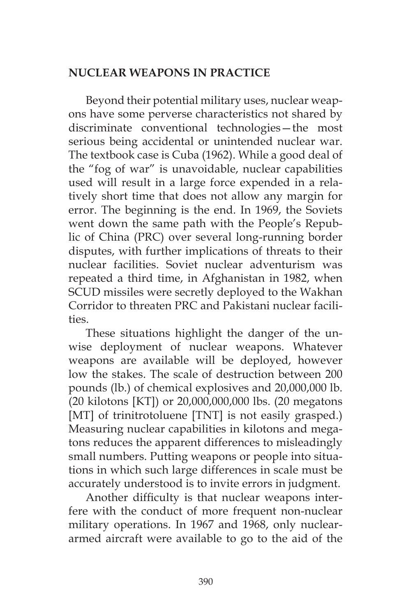# **NUCLEAR WEAPONS IN PRACTICE**

Beyond their potential military uses, nuclear weapons have some perverse characteristics not shared by discriminate conventional technologies—the most serious being accidental or unintended nuclear war. The textbook case is Cuba (1962). While a good deal of the "fog of war" is unavoidable, nuclear capabilities used will result in a large force expended in a relatively short time that does not allow any margin for error. The beginning is the end. In 1969, the Soviets went down the same path with the People's Republic of China (PRC) over several long-running border disputes, with further implications of threats to their nuclear facilities. Soviet nuclear adventurism was repeated a third time, in Afghanistan in 1982, when SCUD missiles were secretly deployed to the Wakhan Corridor to threaten PRC and Pakistani nuclear facilities.

These situations highlight the danger of the unwise deployment of nuclear weapons. Whatever weapons are available will be deployed, however low the stakes. The scale of destruction between 200 pounds (lb.) of chemical explosives and 20,000,000 lb. (20 kilotons [KT]) or 20,000,000,000 lbs. (20 megatons [MT] of trinitrotoluene [TNT] is not easily grasped.) Measuring nuclear capabilities in kilotons and megatons reduces the apparent differences to misleadingly small numbers. Putting weapons or people into situations in which such large differences in scale must be accurately understood is to invite errors in judgment.

Another difficulty is that nuclear weapons interfere with the conduct of more frequent non-nuclear military operations. In 1967 and 1968, only nucleararmed aircraft were available to go to the aid of the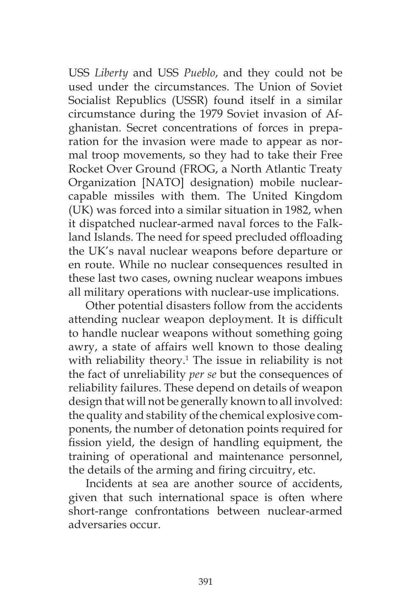USS *Liberty* and USS *Pueblo*, and they could not be used under the circumstances. The Union of Soviet Socialist Republics (USSR) found itself in a similar circumstance during the 1979 Soviet invasion of Afghanistan. Secret concentrations of forces in preparation for the invasion were made to appear as normal troop movements, so they had to take their Free Rocket Over Ground (FROG, a North Atlantic Treaty Organization [NATO] designation) mobile nuclearcapable missiles with them. The United Kingdom (UK) was forced into a similar situation in 1982, when it dispatched nuclear-armed naval forces to the Falkland Islands. The need for speed precluded offloading the UK's naval nuclear weapons before departure or en route. While no nuclear consequences resulted in these last two cases, owning nuclear weapons imbues all military operations with nuclear-use implications.

Other potential disasters follow from the accidents attending nuclear weapon deployment. It is difficult to handle nuclear weapons without something going awry, a state of affairs well known to those dealing with reliability theory.<sup>1</sup> The issue in reliability is not the fact of unreliability *per se* but the consequences of reliability failures. These depend on details of weapon design that will not be generally known to all involved: the quality and stability of the chemical explosive components, the number of detonation points required for fission yield, the design of handling equipment, the training of operational and maintenance personnel, the details of the arming and firing circuitry, etc.

Incidents at sea are another source of accidents, given that such international space is often where short-range confrontations between nuclear-armed adversaries occur.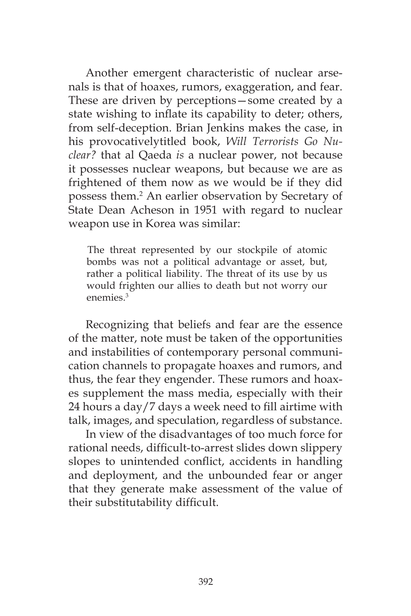Another emergent characteristic of nuclear arsenals is that of hoaxes, rumors, exaggeration, and fear. These are driven by perceptions—some created by a state wishing to inflate its capability to deter; others, from self-deception. Brian Jenkins makes the case, in his provocativelytitled book, *Will Terrorists Go Nuclear?* that al Qaeda *is* a nuclear power, not because it possesses nuclear weapons, but because we are as frightened of them now as we would be if they did possess them.<sup>2</sup> An earlier observation by Secretary of State Dean Acheson in 1951 with regard to nuclear weapon use in Korea was similar:

The threat represented by our stockpile of atomic bombs was not a political advantage or asset, but, rather a political liability. The threat of its use by us would frighten our allies to death but not worry our enemies.3

Recognizing that beliefs and fear are the essence of the matter, note must be taken of the opportunities and instabilities of contemporary personal communication channels to propagate hoaxes and rumors, and thus, the fear they engender. These rumors and hoaxes supplement the mass media, especially with their 24 hours a day/7 days a week need to fill airtime with talk, images, and speculation, regardless of substance.

In view of the disadvantages of too much force for rational needs, difficult-to-arrest slides down slippery slopes to unintended conflict, accidents in handling and deployment, and the unbounded fear or anger that they generate make assessment of the value of their substitutability difficult.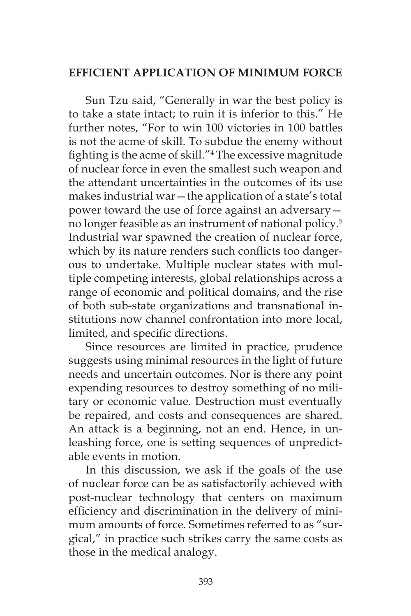## **EFFICIENT APPLICATION OF MINIMUM FORCE**

Sun Tzu said, "Generally in war the best policy is to take a state intact; to ruin it is inferior to this." He further notes, "For to win 100 victories in 100 battles is not the acme of skill. To subdue the enemy without fighting is the acme of skill."4 The excessive magnitude of nuclear force in even the smallest such weapon and the attendant uncertainties in the outcomes of its use makes industrial war—the application of a state's total power toward the use of force against an adversary no longer feasible as an instrument of national policy.<sup>5</sup> Industrial war spawned the creation of nuclear force, which by its nature renders such conflicts too dangerous to undertake. Multiple nuclear states with multiple competing interests, global relationships across a range of economic and political domains, and the rise of both sub-state organizations and transnational institutions now channel confrontation into more local, limited, and specific directions.

Since resources are limited in practice, prudence suggests using minimal resources in the light of future needs and uncertain outcomes. Nor is there any point expending resources to destroy something of no military or economic value. Destruction must eventually be repaired, and costs and consequences are shared. An attack is a beginning, not an end. Hence, in unleashing force, one is setting sequences of unpredictable events in motion.

In this discussion, we ask if the goals of the use of nuclear force can be as satisfactorily achieved with post-nuclear technology that centers on maximum efficiency and discrimination in the delivery of minimum amounts of force. Sometimes referred to as "surgical," in practice such strikes carry the same costs as those in the medical analogy.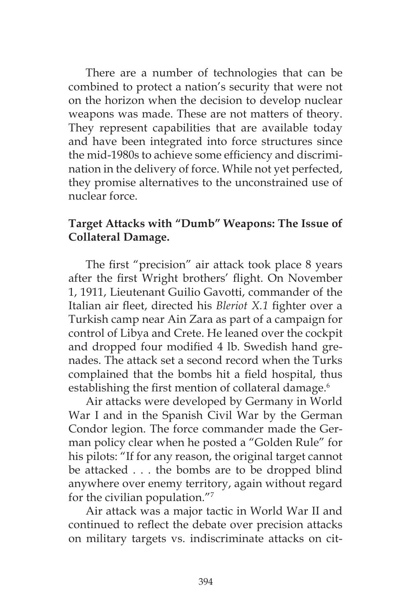There are a number of technologies that can be combined to protect a nation's security that were not on the horizon when the decision to develop nuclear weapons was made. These are not matters of theory. They represent capabilities that are available today and have been integrated into force structures since the mid-1980s to achieve some efficiency and discrimination in the delivery of force. While not yet perfected, they promise alternatives to the unconstrained use of nuclear force.

# **Target Attacks with "Dumb" Weapons: The Issue of Collateral Damage.**

The first "precision" air attack took place 8 years after the first Wright brothers' flight. On November 1, 1911, Lieutenant Guilio Gavotti, commander of the Italian air fleet, directed his *Bleriot X.1* fighter over a Turkish camp near Ain Zara as part of a campaign for control of Libya and Crete. He leaned over the cockpit and dropped four modified 4 lb. Swedish hand grenades. The attack set a second record when the Turks complained that the bombs hit a field hospital, thus establishing the first mention of collateral damage.<sup>6</sup>

Air attacks were developed by Germany in World War I and in the Spanish Civil War by the German Condor legion. The force commander made the German policy clear when he posted a "Golden Rule" for his pilots: "If for any reason, the original target cannot be attacked . . . the bombs are to be dropped blind anywhere over enemy territory, again without regard for the civilian population."7

Air attack was a major tactic in World War II and continued to reflect the debate over precision attacks on military targets vs. indiscriminate attacks on cit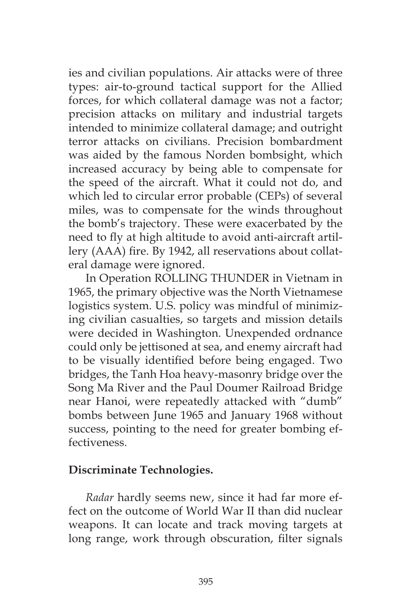ies and civilian populations. Air attacks were of three types: air-to-ground tactical support for the Allied forces, for which collateral damage was not a factor; precision attacks on military and industrial targets intended to minimize collateral damage; and outright terror attacks on civilians. Precision bombardment was aided by the famous Norden bombsight, which increased accuracy by being able to compensate for the speed of the aircraft. What it could not do, and which led to circular error probable (CEPs) of several miles, was to compensate for the winds throughout the bomb's trajectory. These were exacerbated by the need to fly at high altitude to avoid anti-aircraft artillery (AAA) fire. By 1942, all reservations about collateral damage were ignored.

In Operation ROLLING THUNDER in Vietnam in 1965, the primary objective was the North Vietnamese logistics system. U.S. policy was mindful of minimizing civilian casualties, so targets and mission details were decided in Washington. Unexpended ordnance could only be jettisoned at sea, and enemy aircraft had to be visually identified before being engaged. Two bridges, the Tanh Hoa heavy-masonry bridge over the Song Ma River and the Paul Doumer Railroad Bridge near Hanoi, were repeatedly attacked with "dumb" bombs between June 1965 and January 1968 without success, pointing to the need for greater bombing effectiveness.

## **Discriminate Technologies.**

*Radar* hardly seems new, since it had far more effect on the outcome of World War II than did nuclear weapons. It can locate and track moving targets at long range, work through obscuration, filter signals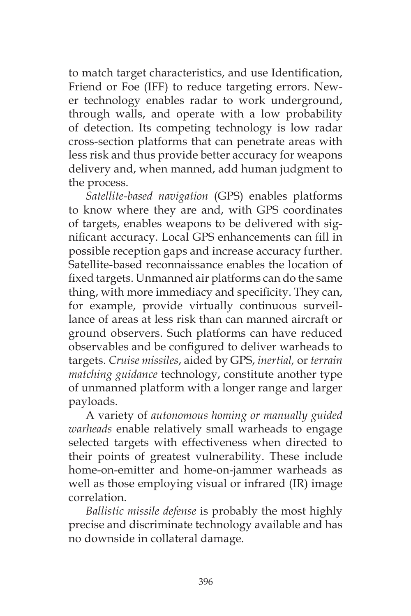to match target characteristics, and use Identification, Friend or Foe (IFF) to reduce targeting errors. Newer technology enables radar to work underground, through walls, and operate with a low probability of detection. Its competing technology is low radar cross-section platforms that can penetrate areas with less risk and thus provide better accuracy for weapons delivery and, when manned, add human judgment to the process.

*Satellite-based navigation* (GPS) enables platforms to know where they are and, with GPS coordinates of targets, enables weapons to be delivered with significant accuracy. Local GPS enhancements can fill in possible reception gaps and increase accuracy further. Satellite-based reconnaissance enables the location of fixed targets. Unmanned air platforms can do the same thing, with more immediacy and specificity. They can, for example, provide virtually continuous surveillance of areas at less risk than can manned aircraft or ground observers. Such platforms can have reduced observables and be configured to deliver warheads to targets. *Cruise missiles*, aided by GPS, *inertial,* or *terrain matching guidance* technology, constitute another type of unmanned platform with a longer range and larger payloads.

A variety of *autonomous homing or manually guided warheads* enable relatively small warheads to engage selected targets with effectiveness when directed to their points of greatest vulnerability. These include home-on-emitter and home-on-jammer warheads as well as those employing visual or infrared (IR) image correlation.

*Ballistic missile defense* is probably the most highly precise and discriminate technology available and has no downside in collateral damage.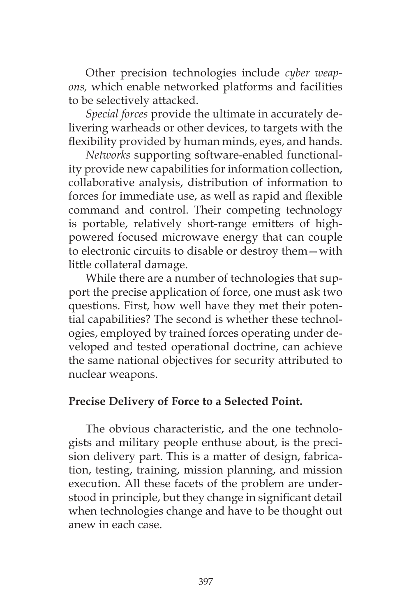Other precision technologies include *cyber weapons,* which enable networked platforms and facilities to be selectively attacked.

*Special forces* provide the ultimate in accurately delivering warheads or other devices, to targets with the flexibility provided by human minds, eyes, and hands.

*Networks* supporting software-enabled functionality provide new capabilities for information collection, collaborative analysis, distribution of information to forces for immediate use, as well as rapid and flexible command and control. Their competing technology is portable, relatively short-range emitters of highpowered focused microwave energy that can couple to electronic circuits to disable or destroy them—with little collateral damage.

While there are a number of technologies that support the precise application of force, one must ask two questions. First, how well have they met their potential capabilities? The second is whether these technologies, employed by trained forces operating under developed and tested operational doctrine, can achieve the same national objectives for security attributed to nuclear weapons.

## **Precise Delivery of Force to a Selected Point.**

The obvious characteristic, and the one technologists and military people enthuse about, is the precision delivery part. This is a matter of design, fabrication, testing, training, mission planning, and mission execution. All these facets of the problem are understood in principle, but they change in significant detail when technologies change and have to be thought out anew in each case.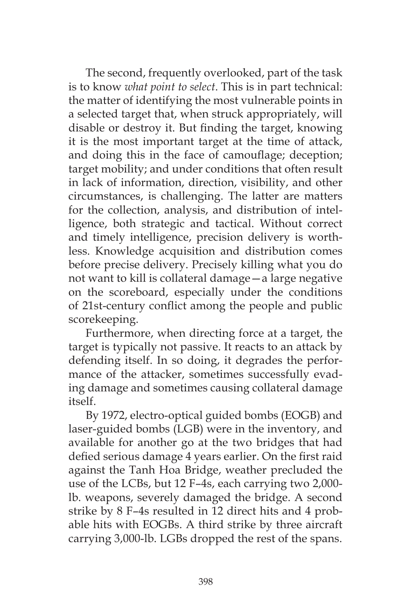The second, frequently overlooked, part of the task is to know *what point to select*. This is in part technical: the matter of identifying the most vulnerable points in a selected target that, when struck appropriately, will disable or destroy it. But finding the target, knowing it is the most important target at the time of attack, and doing this in the face of camouflage; deception; target mobility; and under conditions that often result in lack of information, direction, visibility, and other circumstances, is challenging. The latter are matters for the collection, analysis, and distribution of intelligence, both strategic and tactical. Without correct and timely intelligence, precision delivery is worthless. Knowledge acquisition and distribution comes before precise delivery. Precisely killing what you do not want to kill is collateral damage—a large negative on the scoreboard, especially under the conditions of 21st-century conflict among the people and public scorekeeping.

Furthermore, when directing force at a target, the target is typically not passive. It reacts to an attack by defending itself. In so doing, it degrades the performance of the attacker, sometimes successfully evading damage and sometimes causing collateral damage itself.

By 1972, electro-optical guided bombs (EOGB) and laser-guided bombs (LGB) were in the inventory, and available for another go at the two bridges that had defied serious damage 4 years earlier. On the first raid against the Tanh Hoa Bridge, weather precluded the use of the LCBs, but 12 F–4s, each carrying two 2,000 lb. weapons, severely damaged the bridge. A second strike by 8 F–4s resulted in 12 direct hits and 4 probable hits with EOGBs. A third strike by three aircraft carrying 3,000-lb. LGBs dropped the rest of the spans.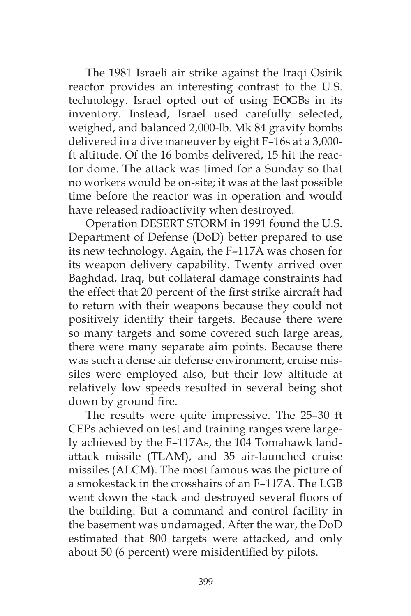The 1981 Israeli air strike against the Iraqi Osirik reactor provides an interesting contrast to the U.S. technology. Israel opted out of using EOGBs in its inventory. Instead, Israel used carefully selected, weighed, and balanced 2,000-lb. Mk 84 gravity bombs delivered in a dive maneuver by eight F–16s at a 3,000 ft altitude. Of the 16 bombs delivered, 15 hit the reactor dome. The attack was timed for a Sunday so that no workers would be on-site; it was at the last possible time before the reactor was in operation and would have released radioactivity when destroyed.

Operation DESERT STORM in 1991 found the U.S. Department of Defense (DoD) better prepared to use its new technology. Again, the F–117A was chosen for its weapon delivery capability. Twenty arrived over Baghdad, Iraq, but collateral damage constraints had the effect that 20 percent of the first strike aircraft had to return with their weapons because they could not positively identify their targets. Because there were so many targets and some covered such large areas, there were many separate aim points. Because there was such a dense air defense environment, cruise missiles were employed also, but their low altitude at relatively low speeds resulted in several being shot down by ground fire.

The results were quite impressive. The 25–30 ft CEPs achieved on test and training ranges were largely achieved by the F–117As, the 104 Tomahawk landattack missile (TLAM), and 35 air-launched cruise missiles (ALCM). The most famous was the picture of a smokestack in the crosshairs of an F–117A. The LGB went down the stack and destroyed several floors of the building. But a command and control facility in the basement was undamaged. After the war, the DoD estimated that 800 targets were attacked, and only about 50 (6 percent) were misidentified by pilots.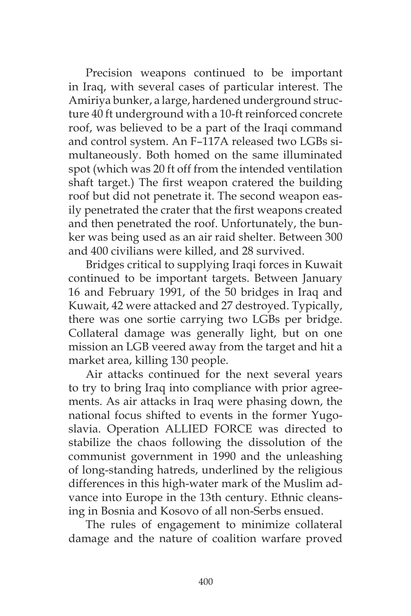Precision weapons continued to be important in Iraq, with several cases of particular interest. The Amiriya bunker, a large, hardened underground structure 40 ft underground with a 10-ft reinforced concrete roof, was believed to be a part of the Iraqi command and control system. An F–117A released two LGBs simultaneously. Both homed on the same illuminated spot (which was 20 ft off from the intended ventilation shaft target.) The first weapon cratered the building roof but did not penetrate it. The second weapon easily penetrated the crater that the first weapons created and then penetrated the roof. Unfortunately, the bunker was being used as an air raid shelter. Between 300 and 400 civilians were killed, and 28 survived.

Bridges critical to supplying Iraqi forces in Kuwait continued to be important targets. Between January 16 and February 1991, of the 50 bridges in Iraq and Kuwait, 42 were attacked and 27 destroyed. Typically, there was one sortie carrying two LGBs per bridge. Collateral damage was generally light, but on one mission an LGB veered away from the target and hit a market area, killing 130 people.

Air attacks continued for the next several years to try to bring Iraq into compliance with prior agreements. As air attacks in Iraq were phasing down, the national focus shifted to events in the former Yugoslavia. Operation ALLIED FORCE was directed to stabilize the chaos following the dissolution of the communist government in 1990 and the unleashing of long-standing hatreds, underlined by the religious differences in this high-water mark of the Muslim advance into Europe in the 13th century. Ethnic cleansing in Bosnia and Kosovo of all non-Serbs ensued.

The rules of engagement to minimize collateral damage and the nature of coalition warfare proved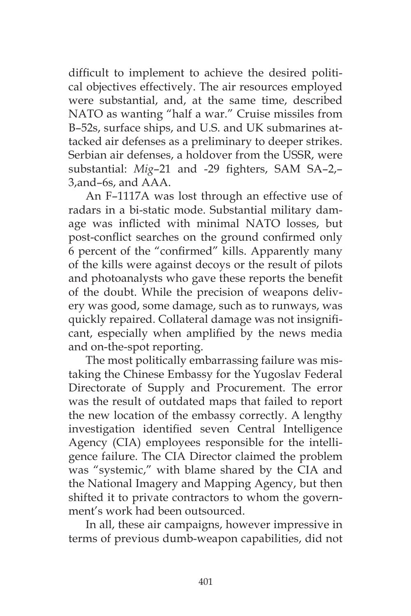difficult to implement to achieve the desired political objectives effectively. The air resources employed were substantial, and, at the same time, described NATO as wanting "half a war." Cruise missiles from B–52s, surface ships, and U.S. and UK submarines attacked air defenses as a preliminary to deeper strikes. Serbian air defenses, a holdover from the USSR, were substantial: *Mig*–21 and -29 fighters, SAM SA–2,– 3,and–6s, and AAA.

An F–1117A was lost through an effective use of radars in a bi-static mode. Substantial military damage was inflicted with minimal NATO losses, but post-conflict searches on the ground confirmed only 6 percent of the "confirmed" kills. Apparently many of the kills were against decoys or the result of pilots and photoanalysts who gave these reports the benefit of the doubt. While the precision of weapons delivery was good, some damage, such as to runways, was quickly repaired. Collateral damage was not insignificant, especially when amplified by the news media and on-the-spot reporting.

The most politically embarrassing failure was mistaking the Chinese Embassy for the Yugoslav Federal Directorate of Supply and Procurement. The error was the result of outdated maps that failed to report the new location of the embassy correctly. A lengthy investigation identified seven Central Intelligence Agency (CIA) employees responsible for the intelligence failure. The CIA Director claimed the problem was "systemic," with blame shared by the CIA and the National Imagery and Mapping Agency, but then shifted it to private contractors to whom the government's work had been outsourced.

In all, these air campaigns, however impressive in terms of previous dumb-weapon capabilities, did not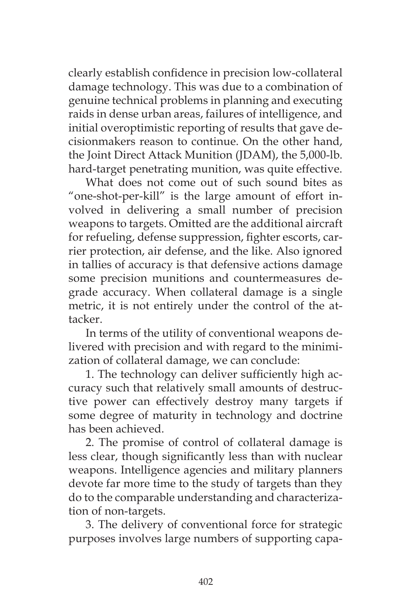clearly establish confidence in precision low-collateral damage technology. This was due to a combination of genuine technical problems in planning and executing raids in dense urban areas, failures of intelligence, and initial overoptimistic reporting of results that gave decisionmakers reason to continue. On the other hand, the Joint Direct Attack Munition (JDAM), the 5,000-lb. hard-target penetrating munition, was quite effective.

What does not come out of such sound bites as "one-shot-per-kill" is the large amount of effort involved in delivering a small number of precision weapons to targets. Omitted are the additional aircraft for refueling, defense suppression, fighter escorts, carrier protection, air defense, and the like. Also ignored in tallies of accuracy is that defensive actions damage some precision munitions and countermeasures degrade accuracy. When collateral damage is a single metric, it is not entirely under the control of the attacker.

In terms of the utility of conventional weapons delivered with precision and with regard to the minimization of collateral damage, we can conclude:

1. The technology can deliver sufficiently high accuracy such that relatively small amounts of destructive power can effectively destroy many targets if some degree of maturity in technology and doctrine has been achieved.

2. The promise of control of collateral damage is less clear, though significantly less than with nuclear weapons. Intelligence agencies and military planners devote far more time to the study of targets than they do to the comparable understanding and characterization of non-targets.

3. The delivery of conventional force for strategic purposes involves large numbers of supporting capa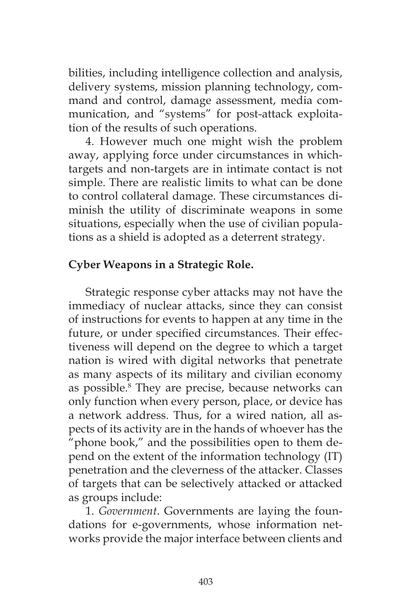bilities, including intelligence collection and analysis, delivery systems, mission planning technology, command and control, damage assessment, media communication, and "systems" for post-attack exploitation of the results of such operations.

4. However much one might wish the problem away, applying force under circumstances in whichtargets and non-targets are in intimate contact is not simple. There are realistic limits to what can be done to control collateral damage. These circumstances diminish the utility of discriminate weapons in some situations, especially when the use of civilian populations as a shield is adopted as a deterrent strategy.

# **Cyber Weapons in a Strategic Role.**

Strategic response cyber attacks may not have the immediacy of nuclear attacks, since they can consist of instructions for events to happen at any time in the future, or under specified circumstances. Their effectiveness will depend on the degree to which a target nation is wired with digital networks that penetrate as many aspects of its military and civilian economy as possible.<sup>8</sup> They are precise, because networks can only function when every person, place, or device has a network address. Thus, for a wired nation, all aspects of its activity are in the hands of whoever has the "phone book," and the possibilities open to them depend on the extent of the information technology (IT) penetration and the cleverness of the attacker. Classes of targets that can be selectively attacked or attacked as groups include:

1. *Government*. Governments are laying the foundations for e-governments, whose information networks provide the major interface between clients and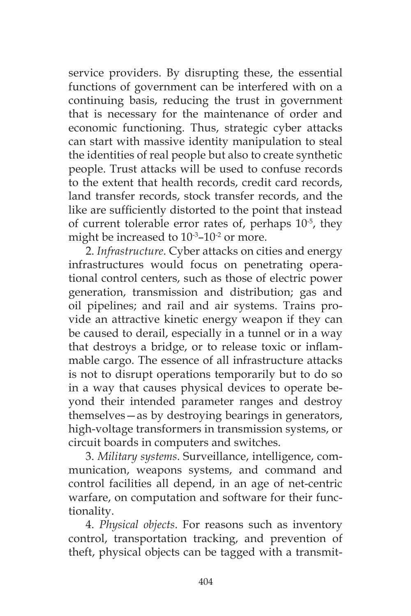service providers. By disrupting these, the essential functions of government can be interfered with on a continuing basis, reducing the trust in government that is necessary for the maintenance of order and economic functioning. Thus, strategic cyber attacks can start with massive identity manipulation to steal the identities of real people but also to create synthetic people. Trust attacks will be used to confuse records to the extent that health records, credit card records, land transfer records, stock transfer records, and the like are sufficiently distorted to the point that instead of current tolerable error rates of, perhaps  $10^{-5}$ , they might be increased to  $10^{-3}$ – $10^{-2}$  or more.

2. *Infrastructure*. Cyber attacks on cities and energy infrastructures would focus on penetrating operational control centers, such as those of electric power generation, transmission and distribution; gas and oil pipelines; and rail and air systems. Trains provide an attractive kinetic energy weapon if they can be caused to derail, especially in a tunnel or in a way that destroys a bridge, or to release toxic or inflammable cargo. The essence of all infrastructure attacks is not to disrupt operations temporarily but to do so in a way that causes physical devices to operate beyond their intended parameter ranges and destroy themselves—as by destroying bearings in generators, high-voltage transformers in transmission systems, or circuit boards in computers and switches.

3. *Military systems*. Surveillance, intelligence, communication, weapons systems, and command and control facilities all depend, in an age of net-centric warfare, on computation and software for their functionality.

4. *Physical objects*. For reasons such as inventory control, transportation tracking, and prevention of theft, physical objects can be tagged with a transmit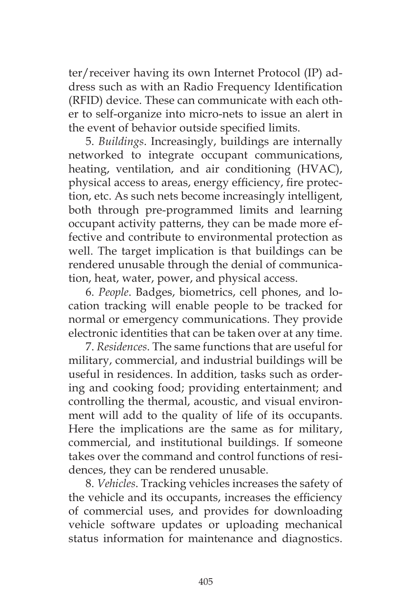ter/receiver having its own Internet Protocol (IP) address such as with an Radio Frequency Identification (RFID) device. These can communicate with each other to self-organize into micro-nets to issue an alert in the event of behavior outside specified limits.

5. *Buildings*. Increasingly, buildings are internally networked to integrate occupant communications, heating, ventilation, and air conditioning (HVAC), physical access to areas, energy efficiency, fire protection, etc. As such nets become increasingly intelligent, both through pre-programmed limits and learning occupant activity patterns, they can be made more effective and contribute to environmental protection as well. The target implication is that buildings can be rendered unusable through the denial of communication, heat, water, power, and physical access.

6. *People*. Badges, biometrics, cell phones, and location tracking will enable people to be tracked for normal or emergency communications. They provide electronic identities that can be taken over at any time.

7. *Residences*. The same functions that are useful for military, commercial, and industrial buildings will be useful in residences. In addition, tasks such as ordering and cooking food; providing entertainment; and controlling the thermal, acoustic, and visual environment will add to the quality of life of its occupants. Here the implications are the same as for military, commercial, and institutional buildings. If someone takes over the command and control functions of residences, they can be rendered unusable.

8. *Vehicles*. Tracking vehicles increases the safety of the vehicle and its occupants, increases the efficiency of commercial uses, and provides for downloading vehicle software updates or uploading mechanical status information for maintenance and diagnostics.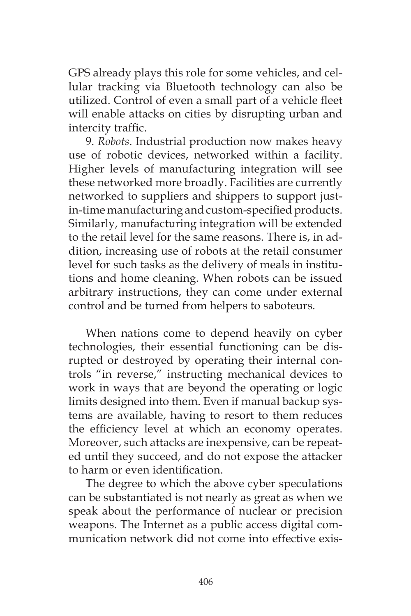GPS already plays this role for some vehicles, and cellular tracking via Bluetooth technology can also be utilized. Control of even a small part of a vehicle fleet will enable attacks on cities by disrupting urban and intercity traffic.

9. *Robots*. Industrial production now makes heavy use of robotic devices, networked within a facility. Higher levels of manufacturing integration will see these networked more broadly. Facilities are currently networked to suppliers and shippers to support justin-time manufacturing and custom-specified products. Similarly, manufacturing integration will be extended to the retail level for the same reasons. There is, in addition, increasing use of robots at the retail consumer level for such tasks as the delivery of meals in institutions and home cleaning. When robots can be issued arbitrary instructions, they can come under external control and be turned from helpers to saboteurs.

When nations come to depend heavily on cyber technologies, their essential functioning can be disrupted or destroyed by operating their internal controls "in reverse," instructing mechanical devices to work in ways that are beyond the operating or logic limits designed into them. Even if manual backup systems are available, having to resort to them reduces the efficiency level at which an economy operates. Moreover, such attacks are inexpensive, can be repeated until they succeed, and do not expose the attacker to harm or even identification.

The degree to which the above cyber speculations can be substantiated is not nearly as great as when we speak about the performance of nuclear or precision weapons. The Internet as a public access digital communication network did not come into effective exis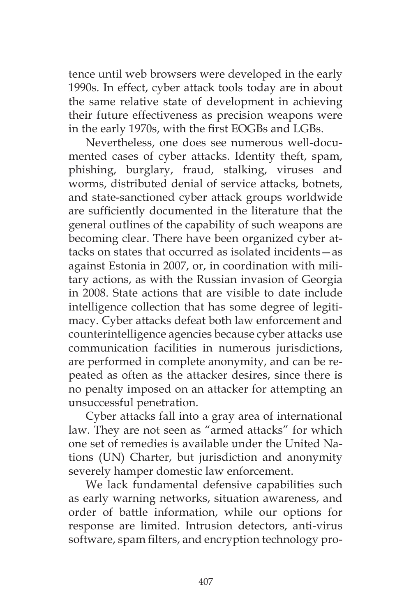tence until web browsers were developed in the early 1990s. In effect, cyber attack tools today are in about the same relative state of development in achieving their future effectiveness as precision weapons were in the early 1970s, with the first EOGBs and LGBs.

Nevertheless, one does see numerous well-documented cases of cyber attacks. Identity theft, spam, phishing, burglary, fraud, stalking, viruses and worms, distributed denial of service attacks, botnets, and state-sanctioned cyber attack groups worldwide are sufficiently documented in the literature that the general outlines of the capability of such weapons are becoming clear. There have been organized cyber attacks on states that occurred as isolated incidents—as against Estonia in 2007, or, in coordination with military actions, as with the Russian invasion of Georgia in 2008. State actions that are visible to date include intelligence collection that has some degree of legitimacy. Cyber attacks defeat both law enforcement and counterintelligence agencies because cyber attacks use communication facilities in numerous jurisdictions, are performed in complete anonymity, and can be repeated as often as the attacker desires, since there is no penalty imposed on an attacker for attempting an unsuccessful penetration.

Cyber attacks fall into a gray area of international law. They are not seen as "armed attacks" for which one set of remedies is available under the United Nations (UN) Charter, but jurisdiction and anonymity severely hamper domestic law enforcement.

We lack fundamental defensive capabilities such as early warning networks, situation awareness, and order of battle information, while our options for response are limited. Intrusion detectors, anti-virus software, spam filters, and encryption technology pro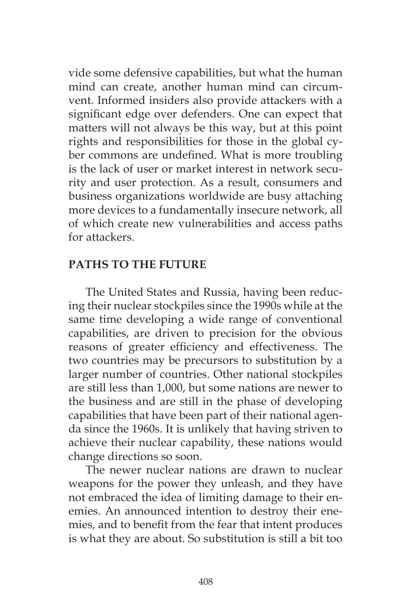vide some defensive capabilities, but what the human mind can create, another human mind can circumvent. Informed insiders also provide attackers with a significant edge over defenders. One can expect that matters will not always be this way, but at this point rights and responsibilities for those in the global cyber commons are undefined. What is more troubling is the lack of user or market interest in network security and user protection. As a result, consumers and business organizations worldwide are busy attaching more devices to a fundamentally insecure network, all of which create new vulnerabilities and access paths for attackers.

# **PATHS TO THE FUTURE**

The United States and Russia, having been reducing their nuclear stockpiles since the 1990s while at the same time developing a wide range of conventional capabilities, are driven to precision for the obvious reasons of greater efficiency and effectiveness. The two countries may be precursors to substitution by a larger number of countries. Other national stockpiles are still less than 1,000, but some nations are newer to the business and are still in the phase of developing capabilities that have been part of their national agenda since the 1960s. It is unlikely that having striven to achieve their nuclear capability, these nations would change directions so soon.

The newer nuclear nations are drawn to nuclear weapons for the power they unleash, and they have not embraced the idea of limiting damage to their enemies. An announced intention to destroy their enemies, and to benefit from the fear that intent produces is what they are about. So substitution is still a bit too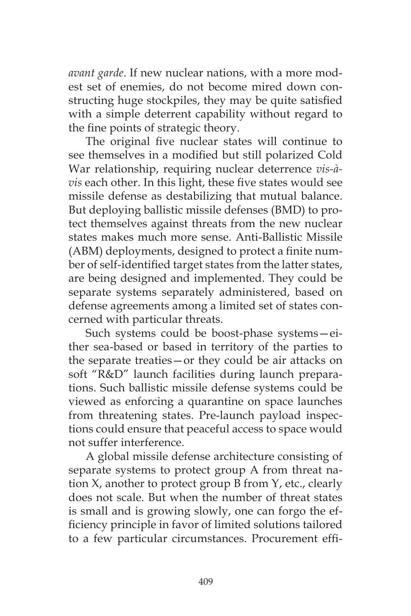*avant garde*. If new nuclear nations, with a more modest set of enemies, do not become mired down constructing huge stockpiles, they may be quite satisfied with a simple deterrent capability without regard to the fine points of strategic theory.

The original five nuclear states will continue to see themselves in a modified but still polarized Cold War relationship, requiring nuclear deterrence *vis-àvis* each other. In this light, these five states would see missile defense as destabilizing that mutual balance. But deploying ballistic missile defenses (BMD) to protect themselves against threats from the new nuclear states makes much more sense. Anti-Ballistic Missile (ABM) deployments, designed to protect a finite number of self-identified target states from the latter states, are being designed and implemented. They could be separate systems separately administered, based on defense agreements among a limited set of states concerned with particular threats.

Such systems could be boost-phase systems—either sea-based or based in territory of the parties to the separate treaties—or they could be air attacks on soft "R&D" launch facilities during launch preparations. Such ballistic missile defense systems could be viewed as enforcing a quarantine on space launches from threatening states. Pre-launch payload inspections could ensure that peaceful access to space would not suffer interference.

A global missile defense architecture consisting of separate systems to protect group A from threat nation X, another to protect group B from Y, etc., clearly does not scale. But when the number of threat states is small and is growing slowly, one can forgo the efficiency principle in favor of limited solutions tailored to a few particular circumstances. Procurement effi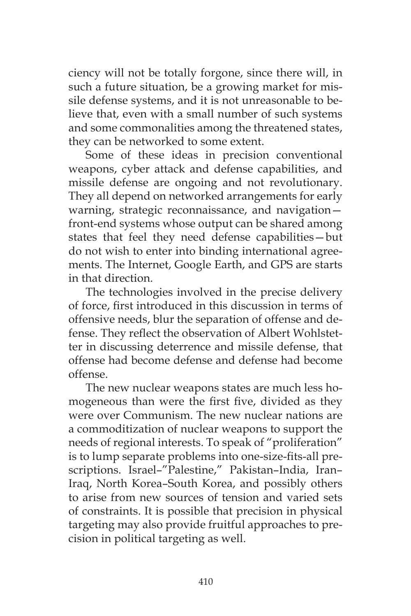ciency will not be totally forgone, since there will, in such a future situation, be a growing market for missile defense systems, and it is not unreasonable to believe that, even with a small number of such systems and some commonalities among the threatened states, they can be networked to some extent.

Some of these ideas in precision conventional weapons, cyber attack and defense capabilities, and missile defense are ongoing and not revolutionary. They all depend on networked arrangements for early warning, strategic reconnaissance, and navigation front-end systems whose output can be shared among states that feel they need defense capabilities—but do not wish to enter into binding international agreements. The Internet, Google Earth, and GPS are starts in that direction.

The technologies involved in the precise delivery of force, first introduced in this discussion in terms of offensive needs, blur the separation of offense and defense. They reflect the observation of Albert Wohlstetter in discussing deterrence and missile defense, that offense had become defense and defense had become offense.

The new nuclear weapons states are much less homogeneous than were the first five, divided as they were over Communism. The new nuclear nations are a commoditization of nuclear weapons to support the needs of regional interests. To speak of "proliferation" is to lump separate problems into one-size-fits-all prescriptions. Israel–"Palestine," Pakistan–India, Iran– Iraq, North Korea–South Korea, and possibly others to arise from new sources of tension and varied sets of constraints. It is possible that precision in physical targeting may also provide fruitful approaches to precision in political targeting as well.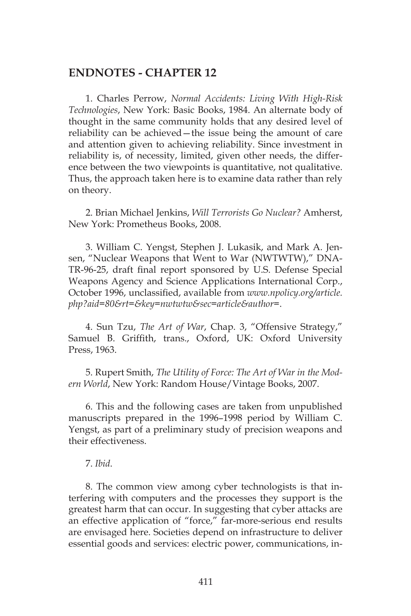#### **ENDNOTES - CHAPTER 12**

1. Charles Perrow, *Normal Accidents: Living With High-Risk Technologies*, New York: Basic Books, 1984. An alternate body of thought in the same community holds that any desired level of reliability can be achieved—the issue being the amount of care and attention given to achieving reliability. Since investment in reliability is, of necessity, limited, given other needs, the difference between the two viewpoints is quantitative, not qualitative. Thus, the approach taken here is to examine data rather than rely on theory.

2. Brian Michael Jenkins, *Will Terrorists Go Nuclear?* Amherst, New York: Prometheus Books, 2008.

3. William C. Yengst, Stephen J. Lukasik, and Mark A. Jensen, "Nuclear Weapons that Went to War (NWTWTW)," DNA-TR-96-25, draft final report sponsored by U.S. Defense Special Weapons Agency and Science Applications International Corp., October 1996, unclassified, available from *www.npolicy.org/article. php?aid=80&rt=&key=nwtwtw&sec=article&author=*.

4. Sun Tzu, *The Art of War*, Chap. 3, "Offensive Strategy," Samuel B. Griffith, trans., Oxford, UK: Oxford University Press, 1963.

5. Rupert Smith, *The Utility of Force: The Art of War in the Modern World*, New York: Random House/Vintage Books, 2007.

6. This and the following cases are taken from unpublished manuscripts prepared in the 1996–1998 period by William C. Yengst, as part of a preliminary study of precision weapons and their effectiveness.

#### 7. *Ibid*.

8. The common view among cyber technologists is that interfering with computers and the processes they support is the greatest harm that can occur. In suggesting that cyber attacks are an effective application of "force," far-more-serious end results are envisaged here. Societies depend on infrastructure to deliver essential goods and services: electric power, communications, in